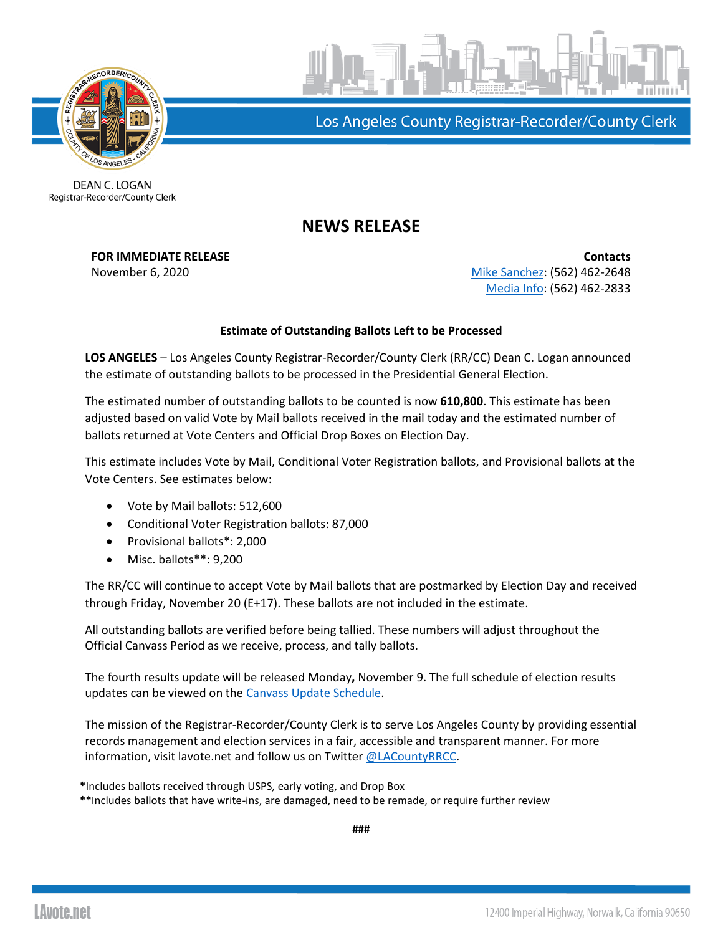



Los Angeles County Registrar-Recorder/County Clerk

DEAN C. LOGAN Registrar-Recorder/County Clerk

## **NEWS RELEASE**

**FOR IMMEDIATE RELEASE CONTACTS** November 6, 2020 **[Mike Sanchez:](mailto:msanchez@rrcc.lacounty.gov)** (562) 462-2648 [Media Info:](mailto:mediainfo@rrcc.lacounty.gov) (562) 462-2833

## **Estimate of Outstanding Ballots Left to be Processed**

**LOS ANGELES** – Los Angeles County Registrar-Recorder/County Clerk (RR/CC) Dean C. Logan announced the estimate of outstanding ballots to be processed in the Presidential General Election.

The estimated number of outstanding ballots to be counted is now **610,800**. This estimate has been adjusted based on valid Vote by Mail ballots received in the mail today and the estimated number of ballots returned at Vote Centers and Official Drop Boxes on Election Day.

This estimate includes Vote by Mail, Conditional Voter Registration ballots, and Provisional ballots at the Vote Centers. See estimates below:

- Vote by Mail ballots: 512,600
- Conditional Voter Registration ballots: 87,000
- Provisional ballots\*: 2,000
- Misc. ballots\*\*: 9,200

The RR/CC will continue to accept Vote by Mail ballots that are postmarked by Election Day and received through Friday, November 20 (E+17). These ballots are not included in the estimate.

All outstanding ballots are verified before being tallied. These numbers will adjust throughout the Official Canvass Period as we receive, process, and tally ballots.

The fourth results update will be released Monday**,** November 9. The full schedule of election results updates can be viewed on the [Canvass Update Schedule.](https://lavote.net/docs/rrcc/election-info/11032020_canvass-update-schedule.pdf?)

The mission of the Registrar-Recorder/County Clerk is to serve Los Angeles County by providing essential records management and election services in a fair, accessible and transparent manner. For more information, visit lavote.net and follow us on Twitter [@LACountyRRCC.](https://twitter.com/LACountyRRCC)

**\***Includes ballots received through USPS, early voting, and Drop Box

**\*\***Includes ballots that have write-ins, are damaged, need to be remade, or require further review

**###**

**LAvote.net**